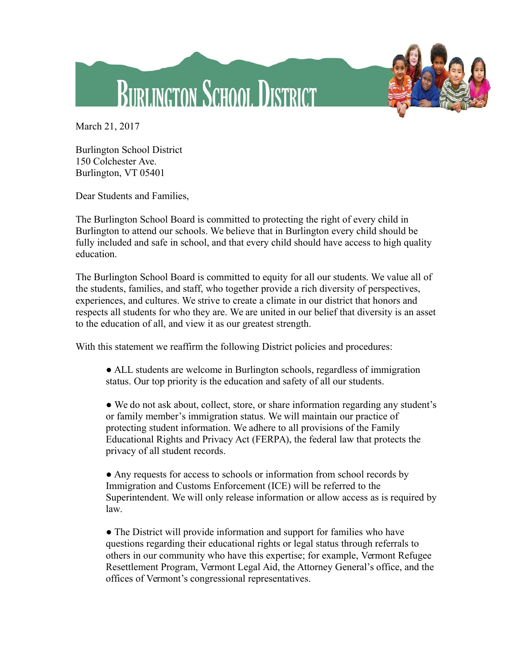



March 21, 2017

Burlington School District 150 Colchester Ave. Burlington, VT 05401

Dear Students and Families,

The Burlington School Board is committed to protecting the right of every child in Burlington to attend our schools. We believe that in Burlington every child should be fully included and safe in school, and that every child should have access to high quality education.

The Burlington School Board is committed to equity for all our students. We value all of the students, families, and staff, who together provide a rich diversity of perspectives, experiences, and cultures. We strive to create a climate in our district that honors and respects all students for who they are. We are united in our belief that diversity is an asset to the education of all, and view it as our greatest strength.

With this statement we reaffirm the following District policies and procedures:

● ALL students are welcome in Burlington schools, regardless of immigration status. Our top priority is the education and safety of all our students.

● We do not ask about, collect, store, or share information regarding any student's or family member's immigration status. We will maintain our practice of protecting student information. We adhere to all provisions of the Family Educational Rights and Privacy Act (FERPA), the federal law that protects the privacy of all student records.

• Any requests for access to schools or information from school records by Immigration and Customs Enforcement (ICE) will be referred to the Superintendent. We will only release information or allow access as is required by law.

• The District will provide information and support for families who have questions regarding their educational rights or legal status through referrals to others in our community who have this expertise; for example, Vermont Refugee Resettlement Program, Vermont Legal Aid, the Attorney General's office, and the offices of Vermont's congressional representatives.